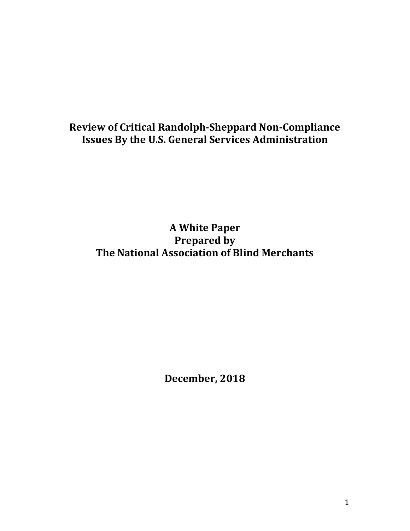# **Review of Critical Randolph-Sheppard Non-Compliance Issues By the U.S. General Services Administration**

**A White Paper Prepared by The National Association of Blind Merchants** 

**December, 2018**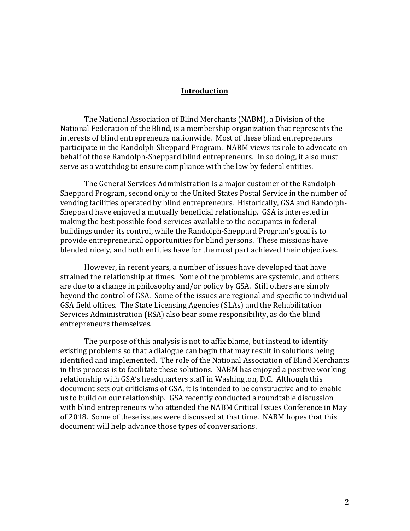#### **Introduction**

The National Association of Blind Merchants (NABM), a Division of the National Federation of the Blind, is a membership organization that represents the interests of blind entrepreneurs nationwide. Most of these blind entrepreneurs participate in the Randolph-Sheppard Program. NABM views its role to advocate on behalf of those Randolph-Sheppard blind entrepreneurs. In so doing, it also must serve as a watchdog to ensure compliance with the law by federal entities.

The General Services Administration is a major customer of the Randolph-Sheppard Program, second only to the United States Postal Service in the number of vending facilities operated by blind entrepreneurs. Historically, GSA and Randolph-Sheppard have enjoyed a mutually beneficial relationship. GSA is interested in making the best possible food services available to the occupants in federal buildings under its control, while the Randolph-Sheppard Program's goal is to provide entrepreneurial opportunities for blind persons. These missions have blended nicely, and both entities have for the most part achieved their objectives.

However, in recent years, a number of issues have developed that have strained the relationship at times. Some of the problems are systemic, and others are due to a change in philosophy and/or policy by GSA. Still others are simply beyond the control of GSA. Some of the issues are regional and specific to individual GSA field offices. The State Licensing Agencies (SLAs) and the Rehabilitation Services Administration (RSA) also bear some responsibility, as do the blind entrepreneurs themselves.

The purpose of this analysis is not to affix blame, but instead to identify existing problems so that a dialogue can begin that may result in solutions being identified and implemented. The role of the National Association of Blind Merchants in this process is to facilitate these solutions. NABM has enjoyed a positive working relationship with GSA's headquarters staff in Washington, D.C. Although this document sets out criticisms of GSA, it is intended to be constructive and to enable us to build on our relationship. GSA recently conducted a roundtable discussion with blind entrepreneurs who attended the NABM Critical Issues Conference in May of 2018. Some of these issues were discussed at that time. NABM hopes that this document will help advance those types of conversations.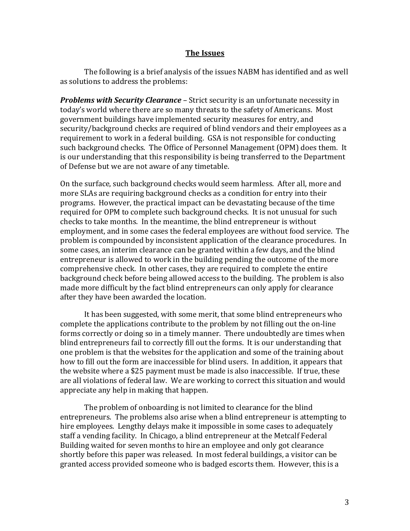#### **The Issues**

The following is a brief analysis of the issues NABM has identified and as well as solutions to address the problems:

*Problems with Security Clearance* – Strict security is an unfortunate necessity in today's world where there are so many threats to the safety of Americans. Most government buildings have implemented security measures for entry, and security/background checks are required of blind vendors and their employees as a requirement to work in a federal building. GSA is not responsible for conducting such background checks. The Office of Personnel Management (OPM) does them. It is our understanding that this responsibility is being transferred to the Department of Defense but we are not aware of any timetable.

On the surface, such background checks would seem harmless. After all, more and more SLAs are requiring background checks as a condition for entry into their programs. However, the practical impact can be devastating because of the time required for OPM to complete such background checks. It is not unusual for such checks to take months. In the meantime, the blind entrepreneur is without employment, and in some cases the federal employees are without food service. The problem is compounded by inconsistent application of the clearance procedures. In some cases, an interim clearance can be granted within a few days, and the blind entrepreneur is allowed to work in the building pending the outcome of the more comprehensive check. In other cases, they are required to complete the entire background check before being allowed access to the building. The problem is also made more difficult by the fact blind entrepreneurs can only apply for clearance after they have been awarded the location.

It has been suggested, with some merit, that some blind entrepreneurs who complete the applications contribute to the problem by not filling out the on-line forms correctly or doing so in a timely manner. There undoubtedly are times when blind entrepreneurs fail to correctly fill out the forms. It is our understanding that one problem is that the websites for the application and some of the training about how to fill out the form are inaccessible for blind users. In addition, it appears that the website where a \$25 payment must be made is also inaccessible. If true, these are all violations of federal law. We are working to correct this situation and would appreciate any help in making that happen.

The problem of onboarding is not limited to clearance for the blind entrepreneurs. The problems also arise when a blind entrepreneur is attempting to hire employees. Lengthy delays make it impossible in some cases to adequately staff a vending facility. In Chicago, a blind entrepreneur at the Metcalf Federal Building waited for seven months to hire an employee and only got clearance shortly before this paper was released. In most federal buildings, a visitor can be granted access provided someone who is badged escorts them. However, this is a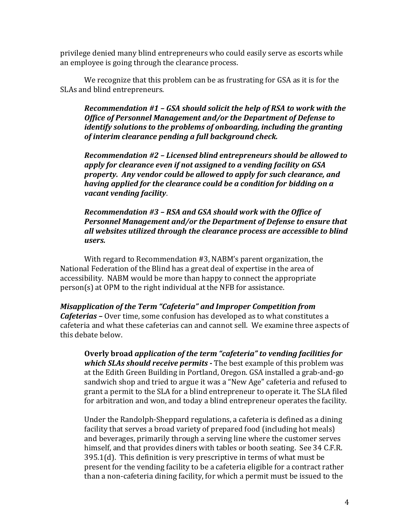privilege denied many blind entrepreneurs who could easily serve as escorts while an employee is going through the clearance process.

We recognize that this problem can be as frustrating for GSA as it is for the SLAs and blind entrepreneurs.

*Recommendation #1 – GSA should solicit the help of RSA to work with the Office of Personnel Management and/or the Department of Defense to identify solutions to the problems of onboarding, including the granting of interim clearance pending a full background check.* 

*Recommendation #2 – Licensed blind entrepreneurs should be allowed to apply for clearance even if not assigned to a vending facility on GSA property. Any vendor could be allowed to apply for such clearance, and having applied for the clearance could be a condition for bidding on a vacant vending facility*.

*Recommendation #3 – RSA and GSA should work with the Office of Personnel Management and/or the Department of Defense to ensure that all websites utilized through the clearance process are accessible to blind users.* 

With regard to Recommendation #3, NABM's parent organization, the National Federation of the Blind has a great deal of expertise in the area of accessibility. NABM would be more than happy to connect the appropriate person(s) at OPM to the right individual at the NFB for assistance.

*Misapplication of the Term "Cafeteria" and Improper Competition from Cafeterias –* Over time, some confusion has developed as to what constitutes a cafeteria and what these cafeterias can and cannot sell. We examine three aspects of this debate below.

**Overly broad** *application of the term "cafeteria" to vending facilities for which SLAs should receive permits* **-** The best example of this problem was at the Edith Green Building in Portland, Oregon. GSA installed a grab-and-go sandwich shop and tried to argue it was a "New Age" cafeteria and refused to grant a permit to the SLA for a blind entrepreneur to operate it. The SLA filed for arbitration and won, and today a blind entrepreneur operates the facility.

Under the Randolph-Sheppard regulations, a cafeteria is defined as a dining facility that serves a broad variety of prepared food (including hot meals) and beverages, primarily through a serving line where the customer serves himself, and that provides diners with tables or booth seating. See 34 C.F.R. 395.1(d). This definition is very prescriptive in terms of what must be present for the vending facility to be a cafeteria eligible for a contract rather than a non-cafeteria dining facility, for which a permit must be issued to the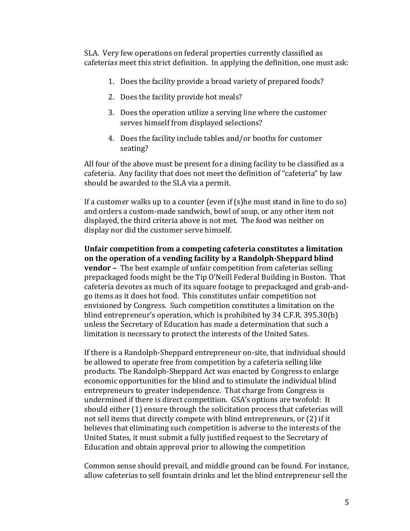SLA. Very few operations on federal properties currently classified as cafeterias meet this strict definition. In applying the definition, one must ask:

- 1. Does the facility provide a broad variety of prepared foods?
- 2. Does the facility provide hot meals?
- 3. Does the operation utilize a serving line where the customer serves himself from displayed selections?
- 4. Does the facility include tables and/or booths for customer seating?

All four of the above must be present for a dining facility to be classified as a cafeteria. Any facility that does not meet the definition of "cafeteria" by law should be awarded to the SLA via a permit.

If a customer walks up to a counter (even if (s)he must stand in line to do so) and orders a custom-made sandwich, bowl of soup, or any other item not displayed, the third criteria above is not met. The food was neither on display nor did the customer serve himself.

**Unfair competition from a competing cafeteria constitutes a limitation on the operation of a vending facility by a Randolph-Sheppard blind vendor –** The best example of unfair competition from cafeterias selling prepackaged foods might be the Tip O'Neill Federal Building in Boston. That cafeteria devotes as much of its square footage to prepackaged and grab-andgo items as it does hot food. This constitutes unfair competition not envisioned by Congress. Such competition constitutes a limitation on the blind entrepreneur's operation, which is prohibited by 34 C.F.R. 395.30(b) unless the Secretary of Education has made a determination that such a limitation is necessary to protect the interests of the United Sates.

If there is a Randolph-Sheppard entrepreneur on-site, that individual should be allowed to operate free from competition by a cafeteria selling like products. The Randolph-Sheppard Act was enacted by Congress to enlarge economic opportunities for the blind and to stimulate the individual blind entrepreneurs to greater independence. That charge from Congress is undermined if there is direct competition. GSA's options are twofold: It should either (1) ensure through the solicitation process that cafeterias will not sell items that directly compete with blind entrepreneurs, or (2) if it believes that eliminating such competition is adverse to the interests of the United States, it must submit a fully justified request to the Secretary of Education and obtain approval prior to allowing the competition

Common sense should prevail, and middle ground can be found. For instance, allow cafeterias to sell fountain drinks and let the blind entrepreneur sell the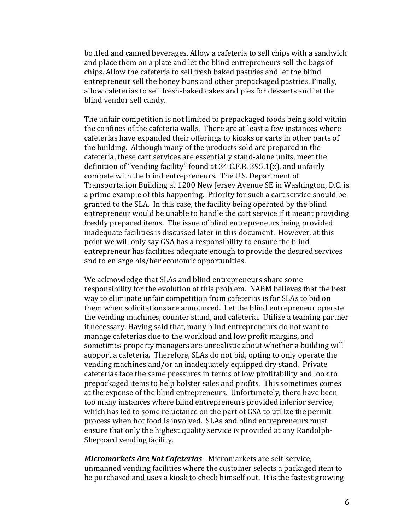bottled and canned beverages. Allow a cafeteria to sell chips with a sandwich and place them on a plate and let the blind entrepreneurs sell the bags of chips. Allow the cafeteria to sell fresh baked pastries and let the blind entrepreneur sell the honey buns and other prepackaged pastries. Finally, allow cafeterias to sell fresh-baked cakes and pies for desserts and let the blind vendor sell candy.

The unfair competition is not limited to prepackaged foods being sold within the confines of the cafeteria walls. There are at least a few instances where cafeterias have expanded their offerings to kiosks or carts in other parts of the building. Although many of the products sold are prepared in the cafeteria, these cart services are essentially stand-alone units, meet the definition of "vending facility" found at 34 C.F.R. 395.1 $(x)$ , and unfairly compete with the blind entrepreneurs. The U.S. Department of Transportation Building at 1200 New Jersey Avenue SE in Washington, D.C. is a prime example of this happening. Priority for such a cart service should be granted to the SLA. In this case, the facility being operated by the blind entrepreneur would be unable to handle the cart service if it meant providing freshly prepared items. The issue of blind entrepreneurs being provided inadequate facilities is discussed later in this document. However, at this point we will only say GSA has a responsibility to ensure the blind entrepreneur has facilities adequate enough to provide the desired services and to enlarge his/her economic opportunities.

We acknowledge that SLAs and blind entrepreneurs share some responsibility for the evolution of this problem. NABM believes that the best way to eliminate unfair competition from cafeterias is for SLAs to bid on them when solicitations are announced. Let the blind entrepreneur operate the vending machines, counter stand, and cafeteria. Utilize a teaming partner if necessary. Having said that, many blind entrepreneurs do not want to manage cafeterias due to the workload and low profit margins, and sometimes property managers are unrealistic about whether a building will support a cafeteria. Therefore, SLAs do not bid, opting to only operate the vending machines and/or an inadequately equipped dry stand. Private cafeterias face the same pressures in terms of low profitability and look to prepackaged items to help bolster sales and profits. This sometimes comes at the expense of the blind entrepreneurs. Unfortunately, there have been too many instances where blind entrepreneurs provided inferior service, which has led to some reluctance on the part of GSA to utilize the permit process when hot food is involved. SLAs and blind entrepreneurs must ensure that only the highest quality service is provided at any Randolph-Sheppard vending facility.

*Micromarkets Are Not Cafeterias* - Micromarkets are self-service, unmanned vending facilities where the customer selects a packaged item to be purchased and uses a kiosk to check himself out. It is the fastest growing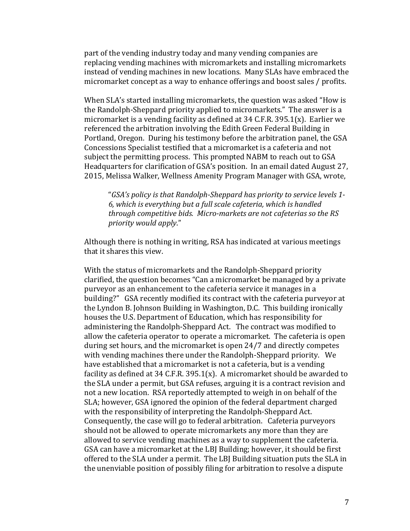part of the vending industry today and many vending companies are replacing vending machines with micromarkets and installing micromarkets instead of vending machines in new locations. Many SLAs have embraced the micromarket concept as a way to enhance offerings and boost sales / profits.

When SLA's started installing micromarkets, the question was asked "How is the Randolph-Sheppard priority applied to micromarkets." The answer is a micromarket is a vending facility as defined at 34 C.F.R. 395.1(x). Earlier we referenced the arbitration involving the Edith Green Federal Building in Portland, Oregon. During his testimony before the arbitration panel, the GSA Concessions Specialist testified that a micromarket is a cafeteria and not subject the permitting process. This prompted NABM to reach out to GSA Headquarters for clarification of GSA's position. In an email dated August 27, 2015, Melissa Walker, Wellness Amenity Program Manager with GSA, wrote,

"*GSA's policy is that Randolph-Sheppard has priority to service levels 1- 6, which is everything but a full scale cafeteria, which is handled through competitive bids. Micro-markets are not cafeterias so the RS priority would apply*."

Although there is nothing in writing, RSA has indicated at various meetings that it shares this view.

With the status of micromarkets and the Randolph-Sheppard priority clarified, the question becomes "Can a micromarket be managed by a private purveyor as an enhancement to the cafeteria service it manages in a building?" GSA recently modified its contract with the cafeteria purveyor at the Lyndon B. Johnson Building in Washington, D.C. This building ironically houses the U.S. Department of Education, which has responsibility for administering the Randolph-Sheppard Act. The contract was modified to allow the cafeteria operator to operate a micromarket. The cafeteria is open during set hours, and the micromarket is open 24/7 and directly competes with vending machines there under the Randolph-Sheppard priority. We have established that a micromarket is not a cafeteria, but is a vending facility as defined at 34 C.F.R. 395.1 $(x)$ . A micromarket should be awarded to the SLA under a permit, but GSA refuses, arguing it is a contract revision and not a new location. RSA reportedly attempted to weigh in on behalf of the SLA; however, GSA ignored the opinion of the federal department charged with the responsibility of interpreting the Randolph-Sheppard Act. Consequently, the case will go to federal arbitration. Cafeteria purveyors should not be allowed to operate micromarkets any more than they are allowed to service vending machines as a way to supplement the cafeteria. GSA can have a micromarket at the LBJ Building; however, it should be first offered to the SLA under a permit. The LBJ Building situation puts the SLA in the unenviable position of possibly filing for arbitration to resolve a dispute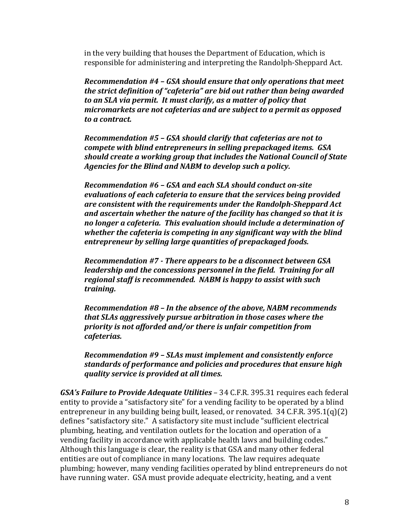in the very building that houses the Department of Education, which is responsible for administering and interpreting the Randolph-Sheppard Act.

*Recommendation #4 – GSA should ensure that only operations that meet the strict definition of "cafeteria" are bid out rather than being awarded to an SLA via permit. It must clarify, as a matter of policy that micromarkets are not cafeterias and are subject to a permit as opposed to a contract.* 

*Recommendation #5 – GSA should clarify that cafeterias are not to compete with blind entrepreneurs in selling prepackaged items. GSA should create a working group that includes the National Council of State Agencies for the Blind and NABM to develop such a policy.* 

*Recommendation #6 – GSA and each SLA should conduct on-site evaluations of each cafeteria to ensure that the services being provided are consistent with the requirements under the Randolph-Sheppard Act and ascertain whether the nature of the facility has changed so that it is no longer a cafeteria. This evaluation should include a determination of whether the cafeteria is competing in any significant way with the blind entrepreneur by selling large quantities of prepackaged foods.* 

*Recommendation #7 - There appears to be a disconnect between GSA leadership and the concessions personnel in the field. Training for all regional staff is recommended. NABM is happy to assist with such training.* 

*Recommendation #8 – In the absence of the above, NABM recommends that SLAs aggressively pursue arbitration in those cases where the priority is not afforded and/or there is unfair competition from cafeterias.* 

*Recommendation #9 – SLAs must implement and consistently enforce standards of performance and policies and procedures that ensure high quality service is provided at all times.* 

*GSA's Failure to Provide Adequate Utilities* – 34 C.F.R. 395.31 requires each federal entity to provide a "satisfactory site" for a vending facility to be operated by a blind entrepreneur in any building being built, leased, or renovated. 34 C.F.R. 395.1(q)(2) defines "satisfactory site." A satisfactory site must include "sufficient electrical plumbing, heating, and ventilation outlets for the location and operation of a vending facility in accordance with applicable health laws and building codes." Although this language is clear, the reality is that GSA and many other federal entities are out of compliance in many locations. The law requires adequate plumbing; however, many vending facilities operated by blind entrepreneurs do not have running water. GSA must provide adequate electricity, heating, and a vent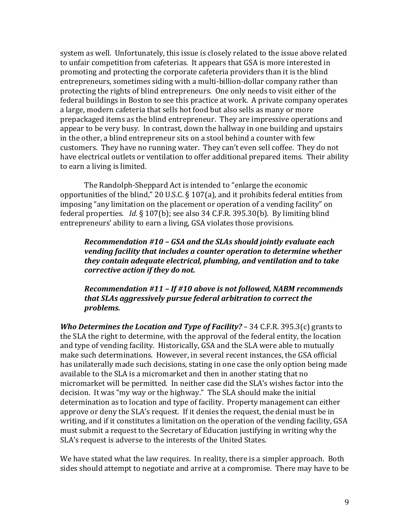system as well. Unfortunately, this issue is closely related to the issue above related to unfair competition from cafeterias. It appears that GSA is more interested in promoting and protecting the corporate cafeteria providers than it is the blind entrepreneurs, sometimes siding with a multi-billion-dollar company rather than protecting the rights of blind entrepreneurs. One only needs to visit either of the federal buildings in Boston to see this practice at work. A private company operates a large, modern cafeteria that sells hot food but also sells as many or more prepackaged items as the blind entrepreneur. They are impressive operations and appear to be very busy. In contrast, down the hallway in one building and upstairs in the other, a blind entrepreneur sits on a stool behind a counter with few customers. They have no running water. They can't even sell coffee. They do not have electrical outlets or ventilation to offer additional prepared items. Their ability to earn a living is limited.

The Randolph-Sheppard Act is intended to "enlarge the economic opportunities of the blind," 20 U.S.C. § 107(a), and it prohibits federal entities from imposing "any limitation on the placement or operation of a vending facility" on federal properties. *Id.* § 107(b); see also 34 C.F.R. 395.30(b). By limiting blind entrepreneurs' ability to earn a living, GSA violates those provisions.

#### *Recommendation #10 – GSA and the SLAs should jointly evaluate each vending facility that includes a counter operation to determine whether they contain adequate electrical, plumbing, and ventilation and to take corrective action if they do not.*

*Recommendation #11 – If #10 above is not followed, NABM recommends that SLAs aggressively pursue federal arbitration to correct the problems.* 

*Who Determines the Location and Type of Facility?* – 34 C.F.R. 395.3(c) grants to the SLA the right to determine, with the approval of the federal entity, the location and type of vending facility. Historically, GSA and the SLA were able to mutually make such determinations. However, in several recent instances, the GSA official has unilaterally made such decisions, stating in one case the only option being made available to the SLA is a micromarket and then in another stating that no micromarket will be permitted. In neither case did the SLA's wishes factor into the decision. It was "my way or the highway." The SLA should make the initial determination as to location and type of facility. Property management can either approve or deny the SLA's request. If it denies the request, the denial must be in writing, and if it constitutes a limitation on the operation of the vending facility, GSA must submit a request to the Secretary of Education justifying in writing why the SLA's request is adverse to the interests of the United States.

We have stated what the law requires. In reality, there is a simpler approach. Both sides should attempt to negotiate and arrive at a compromise. There may have to be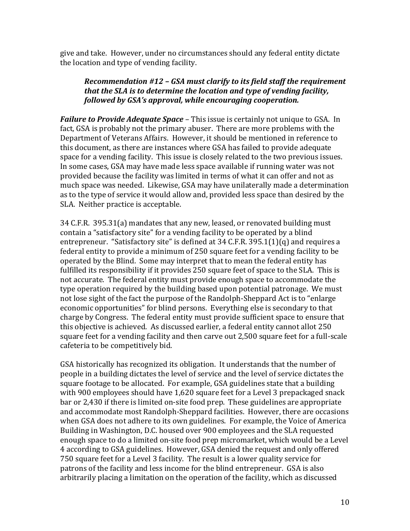give and take. However, under no circumstances should any federal entity dictate the location and type of vending facility.

## *Recommendation #12 – GSA must clarify to its field staff the requirement that the SLA is to determine the location and type of vending facility, followed by GSA's approval, while encouraging cooperation.*

*Failure to Provide Adequate Space* – This issue is certainly not unique to GSA. In fact, GSA is probably not the primary abuser. There are more problems with the Department of Veterans Affairs. However, it should be mentioned in reference to this document, as there are instances where GSA has failed to provide adequate space for a vending facility. This issue is closely related to the two previous issues. In some cases, GSA may have made less space available if running water was not provided because the facility was limited in terms of what it can offer and not as much space was needed. Likewise, GSA may have unilaterally made a determination as to the type of service it would allow and, provided less space than desired by the SLA. Neither practice is acceptable.

34 C.F.R. 395.31(a) mandates that any new, leased, or renovated building must contain a "satisfactory site" for a vending facility to be operated by a blind entrepreneur. "Satisfactory site" is defined at 34 C.F.R. 395.1(1)(q) and requires a federal entity to provide a minimum of 250 square feet for a vending facility to be operated by the Blind. Some may interpret that to mean the federal entity has fulfilled its responsibility if it provides 250 square feet of space to the SLA. This is not accurate. The federal entity must provide enough space to accommodate the type operation required by the building based upon potential patronage. We must not lose sight of the fact the purpose of the Randolph-Sheppard Act is to "enlarge economic opportunities" for blind persons. Everything else is secondary to that charge by Congress. The federal entity must provide sufficient space to ensure that this objective is achieved. As discussed earlier, a federal entity cannot allot 250 square feet for a vending facility and then carve out 2,500 square feet for a full-scale cafeteria to be competitively bid.

GSA historically has recognized its obligation. It understands that the number of people in a building dictates the level of service and the level of service dictates the square footage to be allocated. For example, GSA guidelines state that a building with 900 employees should have 1,620 square feet for a Level 3 prepackaged snack bar or 2,430 if there is limited on-site food prep. These guidelines are appropriate and accommodate most Randolph-Sheppard facilities. However, there are occasions when GSA does not adhere to its own guidelines. For example, the Voice of America Building in Washington, D.C. housed over 900 employees and the SLA requested enough space to do a limited on-site food prep micromarket, which would be a Level 4 according to GSA guidelines. However, GSA denied the request and only offered 750 square feet for a Level 3 facility. The result is a lower quality service for patrons of the facility and less income for the blind entrepreneur. GSA is also arbitrarily placing a limitation on the operation of the facility, which as discussed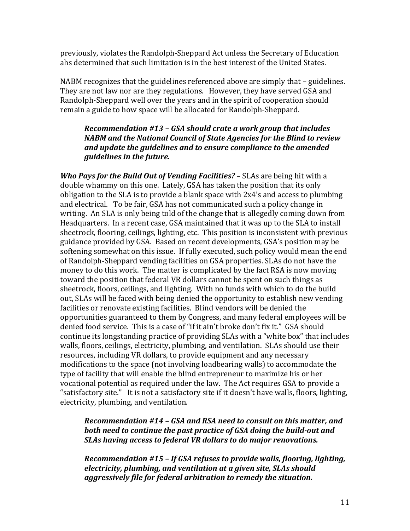previously, violates the Randolph-Sheppard Act unless the Secretary of Education ahs determined that such limitation is in the best interest of the United States.

NABM recognizes that the guidelines referenced above are simply that – guidelines. They are not law nor are they regulations. However, they have served GSA and Randolph-Sheppard well over the years and in the spirit of cooperation should remain a guide to how space will be allocated for Randolph-Sheppard.

#### *Recommendation #13 – GSA should crate a work group that includes NABM and the National Council of State Agencies for the Blind to review and update the guidelines and to ensure compliance to the amended guidelines in the future.*

*Who Pays for the Build Out of Vending Facilities?* – SLAs are being hit with a double whammy on this one. Lately, GSA has taken the position that its only obligation to the SLA is to provide a blank space with 2x4's and access to plumbing and electrical. To be fair, GSA has not communicated such a policy change in writing. An SLA is only being told of the change that is allegedly coming down from Headquarters. In a recent case, GSA maintained that it was up to the SLA to install sheetrock, flooring, ceilings, lighting, etc. This position is inconsistent with previous guidance provided by GSA. Based on recent developments, GSA's position may be softening somewhat on this issue. If fully executed, such policy would mean the end of Randolph-Sheppard vending facilities on GSA properties. SLAs do not have the money to do this work. The matter is complicated by the fact RSA is now moving toward the position that federal VR dollars cannot be spent on such things as sheetrock, floors, ceilings, and lighting. With no funds with which to do the build out, SLAs will be faced with being denied the opportunity to establish new vending facilities or renovate existing facilities. Blind vendors will be denied the opportunities guaranteed to them by Congress, and many federal employees will be denied food service. This is a case of "if it ain't broke don't fix it." GSA should continue its longstanding practice of providing SLAs with a "white box" that includes walls, floors, ceilings, electricity, plumbing, and ventilation. SLAs should use their resources, including VR dollars, to provide equipment and any necessary modifications to the space (not involving loadbearing walls) to accommodate the type of facility that will enable the blind entrepreneur to maximize his or her vocational potential as required under the law. The Act requires GSA to provide a "satisfactory site." It is not a satisfactory site if it doesn't have walls, floors, lighting, electricity, plumbing, and ventilation.

#### *Recommendation #14 – GSA and RSA need to consult on this matter, and both need to continue the past practice of GSA doing the build-out and SLAs having access to federal VR dollars to do major renovations.*

*Recommendation #15 – If GSA refuses to provide walls, flooring, lighting, electricity, plumbing, and ventilation at a given site, SLAs should aggressively file for federal arbitration to remedy the situation.*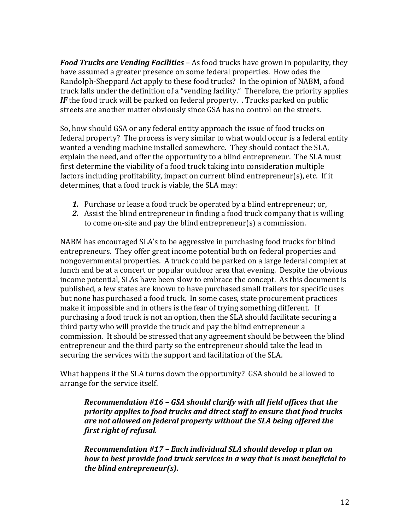*Food Trucks are Vending Facilities –* As food trucks have grown in popularity, they have assumed a greater presence on some federal properties. How odes the Randolph-Sheppard Act apply to these food trucks? In the opinion of NABM, a food truck falls under the definition of a "vending facility." Therefore, the priority applies *IF* the food truck will be parked on federal property. . Trucks parked on public streets are another matter obviously since GSA has no control on the streets.

So, how should GSA or any federal entity approach the issue of food trucks on federal property? The process is very similar to what would occur is a federal entity wanted a vending machine installed somewhere. They should contact the SLA, explain the need, and offer the opportunity to a blind entrepreneur. The SLA must first determine the viability of a food truck taking into consideration multiple factors including profitability, impact on current blind entrepreneur(s), etc. If it determines, that a food truck is viable, the SLA may:

- *1.* Purchase or lease a food truck be operated by a blind entrepreneur; or,
- *2.* Assist the blind entrepreneur in finding a food truck company that is willing to come on-site and pay the blind entrepreneur(s) a commission.

NABM has encouraged SLA's to be aggressive in purchasing food trucks for blind entrepreneurs. They offer great income potential both on federal properties and nongovernmental properties. A truck could be parked on a large federal complex at lunch and be at a concert or popular outdoor area that evening. Despite the obvious income potential, SLAs have been slow to embrace the concept. As this document is published, a few states are known to have purchased small trailers for specific uses but none has purchased a food truck. In some cases, state procurement practices make it impossible and in others is the fear of trying something different. If purchasing a food truck is not an option, then the SLA should facilitate securing a third party who will provide the truck and pay the blind entrepreneur a commission. It should be stressed that any agreement should be between the blind entrepreneur and the third party so the entrepreneur should take the lead in securing the services with the support and facilitation of the SLA.

What happens if the SLA turns down the opportunity? GSA should be allowed to arrange for the service itself.

*Recommendation #16 – GSA should clarify with all field offices that the priority applies to food trucks and direct staff to ensure that food trucks are not allowed on federal property without the SLA being offered the first right of refusal.* 

*Recommendation #17 – Each individual SLA should develop a plan on how to best provide food truck services in a way that is most beneficial to the blind entrepreneur(s).*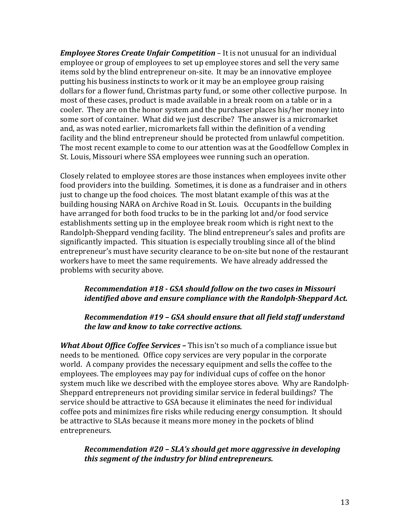*Employee Stores Create Unfair Competition* – It is not unusual for an individual employee or group of employees to set up employee stores and sell the very same items sold by the blind entrepreneur on-site. It may be an innovative employee putting his business instincts to work or it may be an employee group raising dollars for a flower fund, Christmas party fund, or some other collective purpose. In most of these cases, product is made available in a break room on a table or in a cooler. They are on the honor system and the purchaser places his/her money into some sort of container. What did we just describe? The answer is a micromarket and, as was noted earlier, micromarkets fall within the definition of a vending facility and the blind entrepreneur should be protected from unlawful competition. The most recent example to come to our attention was at the Goodfellow Complex in St. Louis, Missouri where SSA employees wee running such an operation.

Closely related to employee stores are those instances when employees invite other food providers into the building. Sometimes, it is done as a fundraiser and in others just to change up the food choices. The most blatant example of this was at the building housing NARA on Archive Road in St. Louis. Occupants in the building have arranged for both food trucks to be in the parking lot and/or food service establishments setting up in the employee break room which is right next to the Randolph-Sheppard vending facility. The blind entrepreneur's sales and profits are significantly impacted. This situation is especially troubling since all of the blind entrepreneur's must have security clearance to be on-site but none of the restaurant workers have to meet the same requirements. We have already addressed the problems with security above.

#### *Recommendation #18 - GSA should follow on the two cases in Missouri identified above and ensure compliance with the Randolph-Sheppard Act.*

#### *Recommendation #19 – GSA should ensure that all field staff understand the law and know to take corrective actions.*

*What About Office Coffee Services –* This isn't so much of a compliance issue but needs to be mentioned. Office copy services are very popular in the corporate world. A company provides the necessary equipment and sells the coffee to the employees. The employees may pay for individual cups of coffee on the honor system much like we described with the employee stores above. Why are Randolph-Sheppard entrepreneurs not providing similar service in federal buildings? The service should be attractive to GSA because it eliminates the need for individual coffee pots and minimizes fire risks while reducing energy consumption. It should be attractive to SLAs because it means more money in the pockets of blind entrepreneurs.

*Recommendation #20 – SLA's should get more aggressive in developing this segment of the industry for blind entrepreneurs.*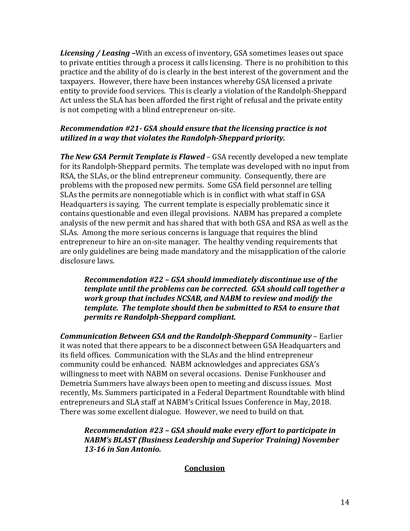*Licensing / Leasing –*With an excess of inventory, GSA sometimes leases out space to private entities through a process it calls licensing. There is no prohibition to this practice and the ability of do is clearly in the best interest of the government and the taxpayers. However, there have been instances whereby GSA licensed a private entity to provide food services. This is clearly a violation of the Randolph-Sheppard Act unless the SLA has been afforded the first right of refusal and the private entity is not competing with a blind entrepreneur on-site.

#### *Recommendation #21- GSA should ensure that the licensing practice is not utilized in a way that violates the Randolph-Sheppard priority.*

*The New GSA Permit Template is Flawed* – GSA recently developed a new template for its Randolph-Sheppard permits. The template was developed with no input from RSA, the SLAs, or the blind entrepreneur community. Consequently, there are problems with the proposed new permits. Some GSA field personnel are telling SLAs the permits are nonnegotiable which is in conflict with what staff in GSA Headquarters is saying. The current template is especially problematic since it contains questionable and even illegal provisions. NABM has prepared a complete analysis of the new permit and has shared that with both GSA and RSA as well as the SLAs. Among the more serious concerns is language that requires the blind entrepreneur to hire an on-site manager. The healthy vending requirements that are only guidelines are being made mandatory and the misapplication of the calorie disclosure laws.

*Recommendation #22 – GSA should immediately discontinue use of the template until the problems can be corrected. GSA should call together a work group that includes NCSAB, and NABM to review and modify the template. The template should then be submitted to RSA to ensure that permits re Randolph-Sheppard compliant.* 

*Communication Between GSA and the Randolph-Sheppard Community* – Earlier it was noted that there appears to be a disconnect between GSA Headquarters and its field offices. Communication with the SLAs and the blind entrepreneur community could be enhanced. NABM acknowledges and appreciates GSA's willingness to meet with NABM on several occasions. Denise Funkhouser and Demetria Summers have always been open to meeting and discuss issues. Most recently, Ms. Summers participated in a Federal Department Roundtable with blind entrepreneurs and SLA staff at NABM's Critical Issues Conference in May, 2018. There was some excellent dialogue. However, we need to build on that.

*Recommendation #23 – GSA should make every effort to participate in NABM's BLAST (Business Leadership and Superior Training) November 13-16 in San Antonio.* 

## **Conclusion**